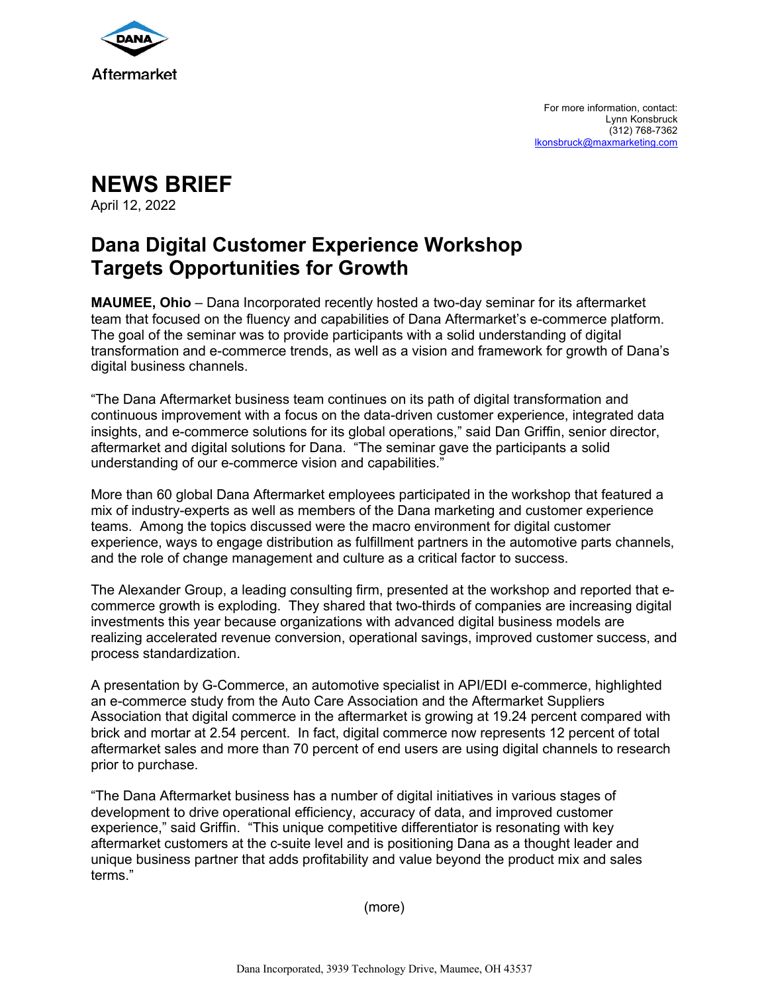

For more information, contact: Lynn Konsbruck (312) 768-7362 lkonsbruck@maxmarketing.com

**NEWS BRIEF** April 12, 2022

## **Dana Digital Customer Experience Workshop Targets Opportunities for Growth**

**MAUMEE, Ohio** – Dana Incorporated recently hosted a two-day seminar for its aftermarket team that focused on the fluency and capabilities of Dana Aftermarket's e-commerce platform. The goal of the seminar was to provide participants with a solid understanding of digital transformation and e-commerce trends, as well as a vision and framework for growth of Dana's digital business channels.

"The Dana Aftermarket business team continues on its path of digital transformation and continuous improvement with a focus on the data-driven customer experience, integrated data insights, and e-commerce solutions for its global operations," said Dan Griffin, senior director, aftermarket and digital solutions for Dana. "The seminar gave the participants a solid understanding of our e-commerce vision and capabilities."

More than 60 global Dana Aftermarket employees participated in the workshop that featured a mix of industry-experts as well as members of the Dana marketing and customer experience teams. Among the topics discussed were the macro environment for digital customer experience, ways to engage distribution as fulfillment partners in the automotive parts channels, and the role of change management and culture as a critical factor to success.

The Alexander Group, a leading consulting firm, presented at the workshop and reported that ecommerce growth is exploding. They shared that two-thirds of companies are increasing digital investments this year because organizations with advanced digital business models are realizing accelerated revenue conversion, operational savings, improved customer success, and process standardization.

A presentation by G-Commerce, an automotive specialist in API/EDI e-commerce, highlighted an e-commerce study from the Auto Care Association and the Aftermarket Suppliers Association that digital commerce in the aftermarket is growing at 19.24 percent compared with brick and mortar at 2.54 percent. In fact, digital commerce now represents 12 percent of total aftermarket sales and more than 70 percent of end users are using digital channels to research prior to purchase.

"The Dana Aftermarket business has a number of digital initiatives in various stages of development to drive operational efficiency, accuracy of data, and improved customer experience," said Griffin. "This unique competitive differentiator is resonating with key aftermarket customers at the c-suite level and is positioning Dana as a thought leader and unique business partner that adds profitability and value beyond the product mix and sales terms."

(more)